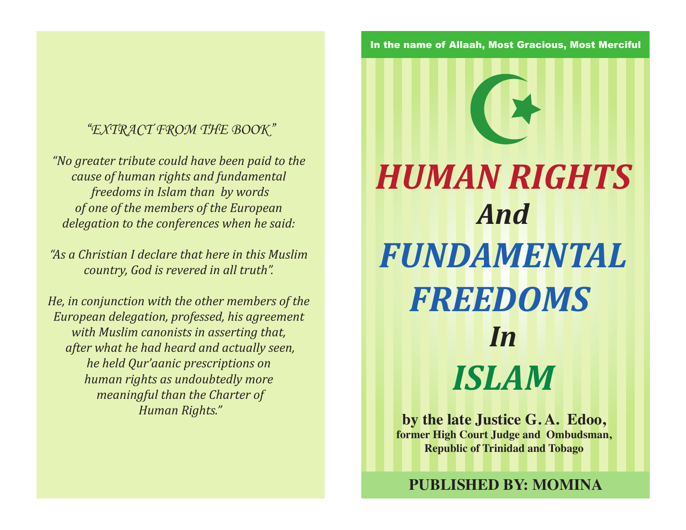## *"EXTRACT FROM THE BOOK"*

*"No greater tribute could have been paid to the cause of human rights and fundamental freedoms in Islam than by words of one of the members of the European delegation to the conferences when he said:* 

*"As a Christian I declare that here in this Muslim country, God is revered in all truth".* 

*He, in conjunction with the other members of the European delegation, professed, his agreement with Muslim canonists in asserting that, after what he had heard and actually seen, he held Qur'aanic prescriptions on human rights as undoubtedly more meaningful than the Charter of Human Rights."*

In the name of Allaah, Most Gracious, Most Merciful

*HUMAN RIGHTS And FUNDAMENTAL FREEDOMS In ISLAM*

**by the late Justice G. A. Edoo, former High Court Judge and Ombudsman, Republic of Trinidad and Tobago**

**PUBLISHED BY: MOMINA**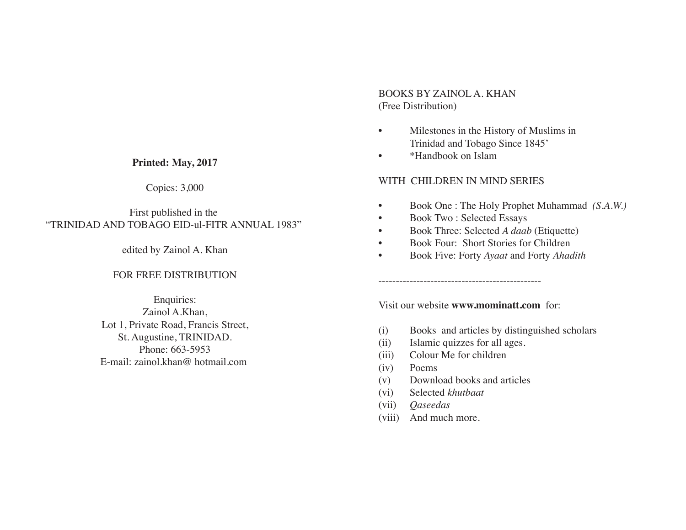#### **Printed: May, 2017**

#### Copies: 3,000

### First published in the "TRINIDAD AND TOBAGO EID-ul-FITR ANNUAL 1983"

#### edited by Zainol A. Khan

#### FOR FREE DISTRIBUTION

Enquiries: Zainol A.Khan, Lot 1, Private Road, Francis Street, St. Augustine, TRINIDAD. Phone: 663-5953 E-mail: zainol.khan@ hotmail.com

### BOOKS BY ZAINOL A. KHAN (Free Distribution)

- Milestones in the History of Muslims in Trinidad and Tobago Since 1845'
- \*Handbook on Islam

#### WITH CHILDREN IN MIND SERIES

- Book One : The Holy Prophet Muhammad *(S.A.W.)*
- Book Two : Selected Essays
- Book Three: Selected *A daab* (Etiquette)
- Book Four: Short Stories for Children
- Book Five: Forty *Ayaat* and Forty *Ahadith*

Visit our website **www.mominatt.com** for:

-----------------------------------------------

- (i) Books and articles by distinguished scholars
- (ii) Islamic quizzes for all ages.
- (iii) Colour Me for children
- (iv) Poems
- (v) Download books and articles
- (vi) Selected *khutbaat*
- (vii) *Qaseedas*
- (viii) And much more.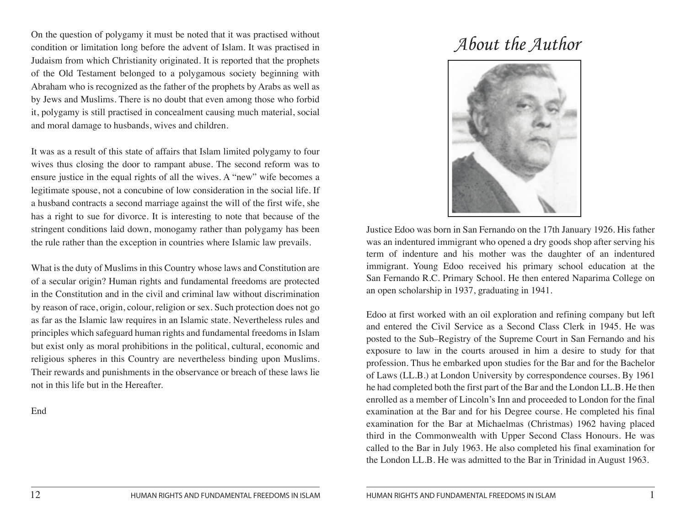On the question of polygamy it must be noted that it was practised without<br>condition or limitation long before the advent of Islam. It was practised in  ${\mathcal About~the~Author}$ Judaism from which Christianity originated. It is reported that the prophets of the Old Testament belonged to a polygamous society beginning with Abraham who is recognized as the father of the prophets by Arabs as well as by Jews and Muslims. There is no doubt that even among those who forbid it, polygamy is still practised in concealment causing much material, social and moral damage to husbands, wives and children.

It was as a result of this state of affairs that Islam limited polygamy to four wives thus closing the door to rampant abuse. The second reform was to ensure justice in the equal rights of all the wives. A "new" wife becomes a legitimate spouse, not a concubine of low consideration in the social life. If a husband contracts a second marriage against the will of the first wife, she has a right to sue for divorce. It is interesting to note that because of the stringent conditions laid down, monogamy rather than polygamy has been the rule rather than the exception in countries where Islamic law prevails.

What is the duty of Muslims in this Country whose laws and Constitution are of a secular origin? Human rights and fundamental freedoms are protected in the Constitution and in the civil and criminal law without discrimination by reason of race, origin, colour, religion or sex. Such protection does not go as far as the Islamic law requires in an Islamic state. Nevertheless rules and principles which safeguard human rights and fundamental freedoms in Islam but exist only as moral prohibitions in the political, cultural, economic and religious spheres in this Country are nevertheless binding upon Muslims. Their rewards and punishments in the observance or breach of these laws lie not in this life but in the Hereafter.

End



Justice Edoo was born in San Fernando on the 17th January 1926. His father was an indentured immigrant who opened a dry goods shop after serving his term of indenture and his mother was the daughter of an indentured immigrant. Young Edoo received his primary school education at the San Fernando R.C. Primary School. He then entered Naparima College on an open scholarship in 1937, graduating in 1941.

Edoo at first worked with an oil exploration and refining company but left and entered the Civil Service as a Second Class Clerk in 1945. He was posted to the Sub–Registry of the Supreme Court in San Fernando and his exposure to law in the courts aroused in him a desire to study for that profession. Thus he embarked upon studies for the Bar and for the Bachelor of Laws (LL.B.) at London University by correspondence courses. By 1961 he had completed both the first part of the Bar and the London LL.B. He then enrolled as a member of Lincoln's Inn and proceeded to London for the final examination at the Bar and for his Degree course. He completed his final examination for the Bar at Michaelmas (Christmas) 1962 having placed third in the Commonwealth with Upper Second Class Honours. He was called to the Bar in July 1963. He also completed his final examination for the London LL.B. He was admitted to the Bar in Trinidad in August 1963.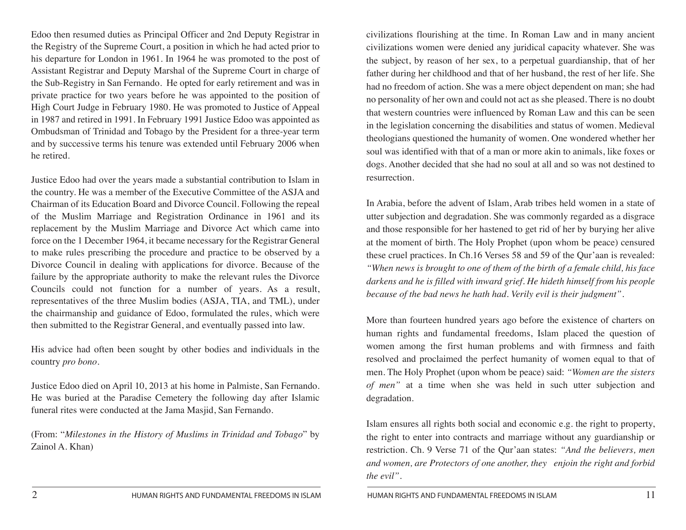Edoo then resumed duties as Principal Officer and 2nd Deputy Registrar in the Registry of the Supreme Court, a position in which he had acted prior to his departure for London in 1961. In 1964 he was promoted to the post of Assistant Registrar and Deputy Marshal of the Supreme Court in charge of the Sub-Registry in San Fernando. He opted for early retirement and was in private practice for two years before he was appointed to the position of High Court Judge in February 1980. He was promoted to Justice of Appeal in 1987 and retired in 1991. In February 1991 Justice Edoo was appointed as Ombudsman of Trinidad and Tobago by the President for a three-year term and by successive terms his tenure was extended until February 2006 when he retired.

Justice Edoo had over the years made a substantial contribution to Islam in the country. He was a member of the Executive Committee of the ASJA and Chairman of its Education Board and Divorce Council. Following the repeal of the Muslim Marriage and Registration Ordinance in 1961 and its replacement by the Muslim Marriage and Divorce Act which came into force on the 1 December 1964, it became necessary for the Registrar General to make rules prescribing the procedure and practice to be observed by a Divorce Council in dealing with applications for divorce. Because of the failure by the appropriate authority to make the relevant rules the Divorce Councils could not function for a number of years. As a result, representatives of the three Muslim bodies (ASJA, TIA, and TML), under the chairmanship and guidance of Edoo, formulated the rules, which were then submitted to the Registrar General, and eventually passed into law.

His advice had often been sought by other bodies and individuals in the country *pro bono*.

Justice Edoo died on April 10, 2013 at his home in Palmiste, San Fernando. He was buried at the Paradise Cemetery the following day after Islamic funeral rites were conducted at the Jama Masjid, San Fernando.

(From: "*Milestones in the History of Muslims in Trinidad and Tobago*" by Zainol A. Khan)

civilizations flourishing at the time. In Roman Law and in many ancient civilizations women were denied any juridical capacity whatever. She was the subject, by reason of her sex, to a perpetual guardianship, that of her father during her childhood and that of her husband, the rest of her life. She had no freedom of action. She was a mere object dependent on man; she had no personality of her own and could not act as she pleased. There is no doubt that western countries were influenced by Roman Law and this can be seen in the legislation concerning the disabilities and status of women. Medieval theologians questioned the humanity of women. One wondered whether her soul was identified with that of a man or more akin to animals, like foxes or dogs. Another decided that she had no soul at all and so was not destined to resurrection.

In Arabia, before the advent of Islam, Arab tribes held women in a state of utter subjection and degradation. She was commonly regarded as a disgrace and those responsible for her hastened to get rid of her by burying her alive at the moment of birth. The Holy Prophet (upon whom be peace) censured these cruel practices. In Ch.16 Verses 58 and 59 of the Qur'aan is revealed: *"When news is brought to one of them of the birth of a female child, his face darkens and he is filled with inward grief. He hideth himself from his people because of the bad news he hath had. Verily evil is their judgment".*

More than fourteen hundred years ago before the existence of charters on human rights and fundamental freedoms, Islam placed the question of women among the first human problems and with firmness and faith resolved and proclaimed the perfect humanity of women equal to that of men. The Holy Prophet (upon whom be peace) said: *"Women are the sisters of men"* at a time when she was held in such utter subjection and degradation.

Islam ensures all rights both social and economic e.g. the right to property, the right to enter into contracts and marriage without any guardianship or restriction. Ch. 9 Verse 71 of the Qur'aan states: *"And the believers, men and women, are Protectors of one another, they enjoin the right and forbid the evil".*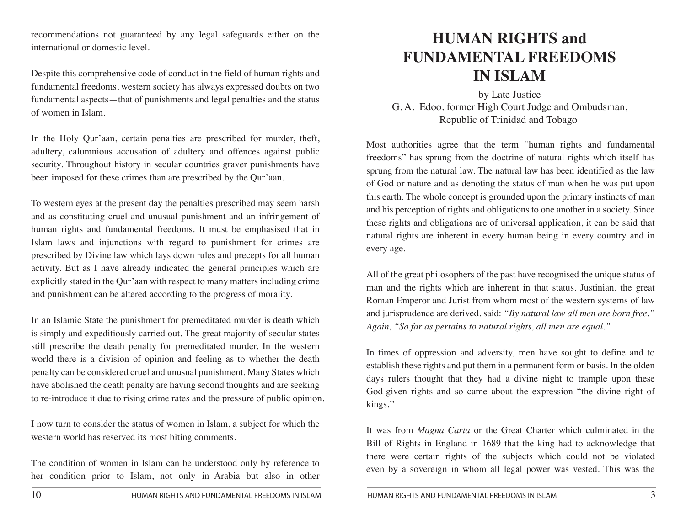recommendations not guaranteed by any legal safeguards either on the international or domestic level.

Despite this comprehensive code of conduct in the field of human rights and fundamental freedoms, western society has always expressed doubts on two fundamental aspects—that of punishments and legal penalties and the status of women in Islam.

In the Holy Qur'aan, certain penalties are prescribed for murder, theft, adultery, calumnious accusation of adultery and offences against public security. Throughout history in secular countries graver punishments have been imposed for these crimes than are prescribed by the Qur'aan.

To western eyes at the present day the penalties prescribed may seem harsh and as constituting cruel and unusual punishment and an infringement of human rights and fundamental freedoms. It must be emphasised that in Islam laws and injunctions with regard to punishment for crimes are prescribed by Divine law which lays down rules and precepts for all human activity. But as I have already indicated the general principles which are explicitly stated in the Qur'aan with respect to many matters including crime and punishment can be altered according to the progress of morality.

In an Islamic State the punishment for premeditated murder is death which is simply and expeditiously carried out. The great majority of secular states still prescribe the death penalty for premeditated murder. In the western world there is a division of opinion and feeling as to whether the death penalty can be considered cruel and unusual punishment. Many States which have abolished the death penalty are having second thoughts and are seeking to re-introduce it due to rising crime rates and the pressure of public opinion.

I now turn to consider the status of women in Islam, a subject for which the western world has reserved its most biting comments.

The condition of women in Islam can be understood only by reference to her condition prior to Islam, not only in Arabia but also in other

# **HUMAN RIGHTS and FUNDAMENTAL FREEDOMS IN ISLAM**

by Late Justice G. A. Edoo, former High Court Judge and Ombudsman, Republic of Trinidad and Tobago

Most authorities agree that the term "human rights and fundamental freedoms" has sprung from the doctrine of natural rights which itself has sprung from the natural law. The natural law has been identified as the law of God or nature and as denoting the status of man when he was put upon this earth. The whole concept is grounded upon the primary instincts of man and his perception of rights and obligations to one another in a society. Since these rights and obligations are of universal application, it can be said that natural rights are inherent in every human being in every country and in every age.

All of the great philosophers of the past have recognised the unique status of man and the rights which are inherent in that status. Justinian, the great Roman Emperor and Jurist from whom most of the western systems of law and jurisprudence are derived. said: *"By natural law all men are born free." Again, "So far as pertains to natural rights, all men are equal."*

In times of oppression and adversity, men have sought to define and to establish these rights and put them in a permanent form or basis. In the olden days rulers thought that they had a divine night to trample upon these God-given rights and so came about the expression "the divine right of kings.''

It was from *Magna Carta* or the Great Charter which culminated in the Bill of Rights in England in 1689 that the king had to acknowledge that there were certain rights of the subjects which could not be violated even by a sovereign in whom all legal power was vested. This was the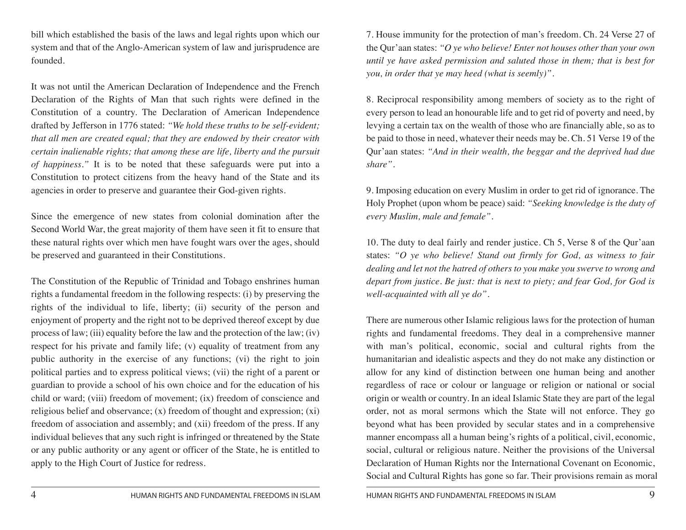bill which established the basis of the laws and legal rights upon which our system and that of the Anglo-American system of law and jurisprudence are founded.

It was not until the American Declaration of Independence and the French Declaration of the Rights of Man that such rights were defined in the Constitution of a country. The Declaration of American Independence drafted by Jefferson in 1776 stated: *"We hold these truths to be self-evident; that all men are created equal; that they are endowed by their creator with certain inalienable rights; that among these are life, liberty and the pursuit of happiness."* It is to be noted that these safeguards were put into a Constitution to protect citizens from the heavy hand of the State and its agencies in order to preserve and guarantee their God-given rights.

Since the emergence of new states from colonial domination after the Second World War, the great majority of them have seen it fit to ensure that these natural rights over which men have fought wars over the ages, should be preserved and guaranteed in their Constitutions.

The Constitution of the Republic of Trinidad and Tobago enshrines human rights a fundamental freedom in the following respects: (i) by preserving the rights of the individual to life, liberty; (ii) security of the person and enjoyment of property and the right not to be deprived thereof except by due process of law; (iii) equality before the law and the protection of the law; (iv) respect for his private and family life; (v) equality of treatment from any public authority in the exercise of any functions; (vi) the right to join political parties and to express political views; (vii) the right of a parent or guardian to provide a school of his own choice and for the education of his child or ward; (viii) freedom of movement; (ix) freedom of conscience and religious belief and observance; (x) freedom of thought and expression; (xi) freedom of association and assembly; and (xii) freedom of the press. If any individual believes that any such right is infringed or threatened by the State or any public authority or any agent or officer of the State, he is entitled to apply to the High Court of Justice for redress.

7. House immunity for the protection of man's freedom. Ch. 24 Verse 27 of the Qur'aan states: *"O ye who believe! Enter not houses other than your own until ye have asked permission and saluted those in them; that is best for you, in order that ye may heed (what is seemly)"*.

8. Reciprocal responsibility among members of society as to the right of every person to lead an honourable life and to get rid of poverty and need, by levying a certain tax on the wealth of those who are financially able, so as to be paid to those in need, whatever their needs may be. Ch. 51 Verse 19 of the Qur'aan states: *"And in their wealth, the beggar and the deprived had due share".*

9. Imposing education on every Muslim in order to get rid of ignorance. The Holy Prophet (upon whom be peace) said: *"Seeking knowledge is the duty of every Muslim, male and female".*

10. The duty to deal fairly and render justice. Ch 5, Verse 8 of the Qur'aan states: *"O ye who believe! Stand out firmly for God, as witness to fair dealing and let not the hatred of others to you make you swerve to wrong and depart from justice. Be just: that is next to piety; and fear God, for God is well-acquainted with all ye do".*

There are numerous other Islamic religious laws for the protection of human rights and fundamental freedoms. They deal in a comprehensive manner with man's political, economic, social and cultural rights from the humanitarian and idealistic aspects and they do not make any distinction or allow for any kind of distinction between one human being and another regardless of race or colour or language or religion or national or social origin or wealth or country. In an ideal Islamic State they are part of the legal order, not as moral sermons which the State will not enforce. They go beyond what has been provided by secular states and in a comprehensive manner encompass all a human being's rights of a political, civil, economic, social, cultural or religious nature. Neither the provisions of the Universal Declaration of Human Rights nor the International Covenant on Economic, Social and Cultural Rights has gone so far. Their provisions remain as moral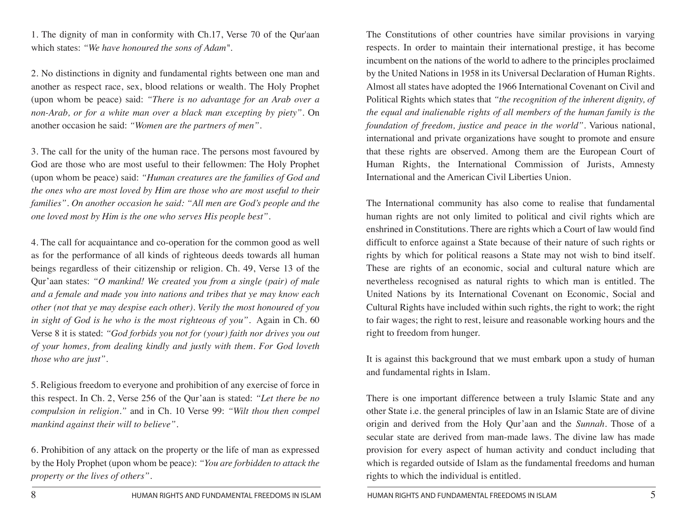1. The dignity of man in conformity with Ch.17, Verse 70 of the Qur'aan which states: *"We have honoured the sons of Adam"*.

2. No distinctions in dignity and fundamental rights between one man and another as respect race, sex, blood relations or wealth. The Holy Prophet (upon whom be peace) said: *"There is no advantage for an Arab over a non-Arab, or for a white man over a black man excepting by piety".* On another occasion he said: *"Women are the partners of men"*.

3. The call for the unity of the human race. The persons most favoured by God are those who are most useful to their fellowmen: The Holy Prophet (upon whom be peace) said: *"Human creatures are the families of God and the ones who are most loved by Him are those who are most useful to their families". On another occasion he said: "All men are God's people and the one loved most by Him is the one who serves His people best".*

4. The call for acquaintance and co-operation for the common good as well as for the performance of all kinds of righteous deeds towards all human beings regardless of their citizenship or religion. Ch. 49, Verse 13 of the Qur'aan states: *"O mankind! We created you from a single (pair) of male and a female and made you into nations and tribes that ye may know each other (not that ye may despise each other). Verily the most honoured of you in sight of God is he who is the most righteous of you".* Again in Ch. 60 Verse 8 it is stated: *"God forbids you not for (your) faith nor drives you out of your homes, from dealing kindly and justly with them. For God loveth those who are just".*

5. Religious freedom to everyone and prohibition of any exercise of force in this respect. In Ch. 2, Verse 256 of the Qur'aan is stated: *"Let there be no compulsion in religion."* and in Ch. 10 Verse 99: *"Wilt thou then compel mankind against their will to believe".*

6. Prohibition of any attack on the property or the life of man as expressed by the Holy Prophet (upon whom be peace): *"You are forbidden to attack the property or the lives of others".*

The Constitutions of other countries have similar provisions in varying respects. In order to maintain their international prestige, it has become incumbent on the nations of the world to adhere to the principles proclaimed by the United Nations in 1958 in its Universal Declaration of Human Rights. Almost all states have adopted the 1966 International Covenant on Civil and Political Rights which states that *"the recognition of the inherent dignity, of the equal and inalienable rights of all members of the human family is the foundation of freedom, justice and peace in the world"*. Various national, international and private organizations have sought to promote and ensure that these rights are observed. Among them are the European Court of Human Rights, the International Commission of Jurists, Amnesty International and the American Civil Liberties Union.

The International community has also come to realise that fundamental human rights are not only limited to political and civil rights which are enshrined in Constitutions. There are rights which a Court of law would find difficult to enforce against a State because of their nature of such rights or rights by which for political reasons a State may not wish to bind itself. These are rights of an economic, social and cultural nature which are nevertheless recognised as natural rights to which man is entitled. The United Nations by its International Covenant on Economic, Social and Cultural Rights have included within such rights, the right to work; the right to fair wages; the right to rest, leisure and reasonable working hours and the right to freedom from hunger.

It is against this background that we must embark upon a study of human and fundamental rights in Islam.

There is one important difference between a truly Islamic State and any other State i.e. the general principles of law in an Islamic State are of divine origin and derived from the Holy Qur'aan and the *Sunnah.* Those of a secular state are derived from man-made laws. The divine law has made provision for every aspect of human activity and conduct including that which is regarded outside of Islam as the fundamental freedoms and human rights to which the individual is entitled.